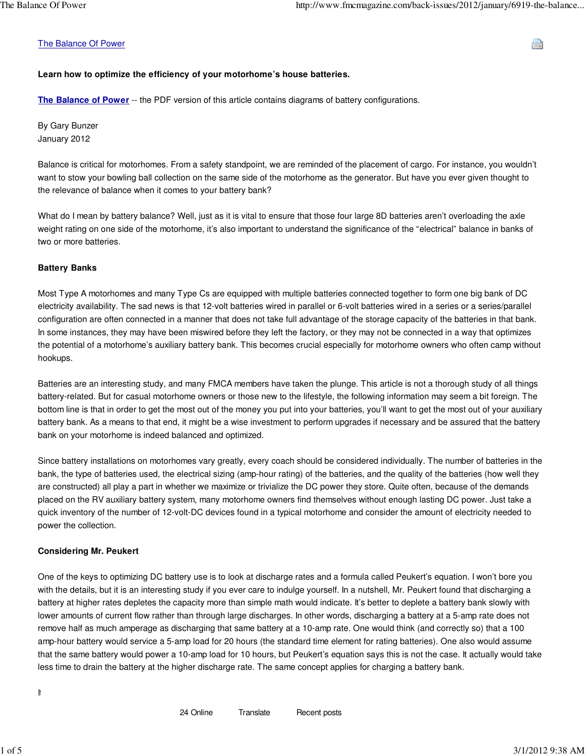#### The Balance Of Power

# **Learn how to optimize the efficiency of your motorhome's house batteries.**

**The Balance of Power** -- the PDF version of this article contains diagrams of battery configurations.

By Gary Bunzer January 2012

Balance is critical for motorhomes. From a safety standpoint, we are reminded of the placement of cargo. For instance, you wouldn't want to stow your bowling ball collection on the same side of the motorhome as the generator. But have you ever given thought to the relevance of balance when it comes to your battery bank?

What do I mean by battery balance? Well, just as it is vital to ensure that those four large 8D batteries aren't overloading the axle weight rating on one side of the motorhome, it's also important to understand the significance of the "electrical" balance in banks of two or more batteries.

#### **Battery Banks**

Most Type A motorhomes and many Type Cs are equipped with multiple batteries connected together to form one big bank of DC electricity availability. The sad news is that 12-volt batteries wired in parallel or 6-volt batteries wired in a series or a series/parallel configuration are often connected in a manner that does not take full advantage of the storage capacity of the batteries in that bank. In some instances, they may have been miswired before they left the factory, or they may not be connected in a way that optimizes the potential of a motorhome's auxiliary battery bank. This becomes crucial especially for motorhome owners who often camp without hookups.

Batteries are an interesting study, and many FMCA members have taken the plunge. This article is not a thorough study of all things battery-related. But for casual motorhome owners or those new to the lifestyle, the following information may seem a bit foreign. The bottom line is that in order to get the most out of the money you put into your batteries, you'll want to get the most out of your auxiliary battery bank. As a means to that end, it might be a wise investment to perform upgrades if necessary and be assured that the battery bank on your motorhome is indeed balanced and optimized.

Since battery installations on motorhomes vary greatly, every coach should be considered individually. The number of batteries in the bank, the type of batteries used, the electrical sizing (amp-hour rating) of the batteries, and the quality of the batteries (how well they are constructed) all play a part in whether we maximize or trivialize the DC power they store. Quite often, because of the demands placed on the RV auxiliary battery system, many motorhome owners find themselves without enough lasting DC power. Just take a quick inventory of the number of 12-volt-DC devices found in a typical motorhome and consider the amount of electricity needed to power the collection.

### **Considering Mr. Peukert**

One of the keys to optimizing DC battery use is to look at discharge rates and a formula called Peukert's equation. I won't bore you with the details, but it is an interesting study if you ever care to indulge yourself. In a nutshell, Mr. Peukert found that discharging a battery at higher rates depletes the capacity more than simple math would indicate. It's better to deplete a battery bank slowly with lower amounts of current flow rather than through large discharges. In other words, discharging a battery at a 5-amp rate does not remove half as much amperage as discharging that same battery at a 10-amp rate. One would think (and correctly so) that a 100 amp-hour battery would service a 5-amp load for 20 hours (the standard time element for rating batteries). One also would assume that the same battery would power a 10-amp load for 10 hours, but Peukert's equation says this is not the case. It actually would take less time to drain the battery at the higher discharge rate. The same concept applies for charging a battery bank.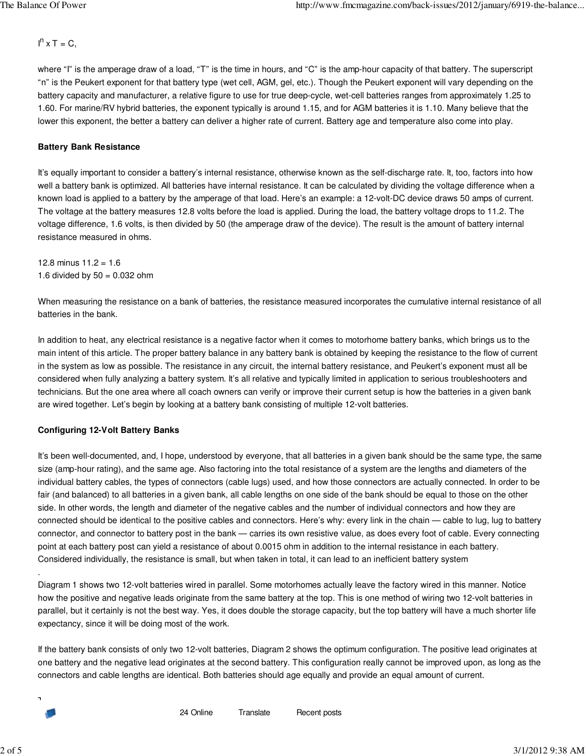$I<sup>n</sup>$  x T = C,

where "I" is the amperage draw of a load, "T" is the time in hours, and "C" is the amp-hour capacity of that battery. The superscript "n" is the Peukert exponent for that battery type (wet cell, AGM, gel, etc.). Though the Peukert exponent will vary depending on the battery capacity and manufacturer, a relative figure to use for true deep-cycle, wet-cell batteries ranges from approximately 1.25 to 1.60. For marine/RV hybrid batteries, the exponent typically is around 1.15, and for AGM batteries it is 1.10. Many believe that the lower this exponent, the better a battery can deliver a higher rate of current. Battery age and temperature also come into play.

# **Battery Bank Resistance**

It's equally important to consider a battery's internal resistance, otherwise known as the self-discharge rate. It, too, factors into how well a battery bank is optimized. All batteries have internal resistance. It can be calculated by dividing the voltage difference when a known load is applied to a battery by the amperage of that load. Here's an example: a 12-volt-DC device draws 50 amps of current. The voltage at the battery measures 12.8 volts before the load is applied. During the load, the battery voltage drops to 11.2. The voltage difference, 1.6 volts, is then divided by 50 (the amperage draw of the device). The result is the amount of battery internal resistance measured in ohms.

12.8 minus  $11.2 = 1.6$ 1.6 divided by  $50 = 0.032$  ohm

When measuring the resistance on a bank of batteries, the resistance measured incorporates the cumulative internal resistance of all batteries in the bank.

In addition to heat, any electrical resistance is a negative factor when it comes to motorhome battery banks, which brings us to the main intent of this article. The proper battery balance in any battery bank is obtained by keeping the resistance to the flow of current in the system as low as possible. The resistance in any circuit, the internal battery resistance, and Peukert's exponent must all be considered when fully analyzing a battery system. It's all relative and typically limited in application to serious troubleshooters and technicians. But the one area where all coach owners can verify or improve their current setup is how the batteries in a given bank are wired together. Let's begin by looking at a battery bank consisting of multiple 12-volt batteries.

# **Configuring 12-Volt Battery Banks**

It's been well-documented, and, I hope, understood by everyone, that all batteries in a given bank should be the same type, the same size (amp-hour rating), and the same age. Also factoring into the total resistance of a system are the lengths and diameters of the individual battery cables, the types of connectors (cable lugs) used, and how those connectors are actually connected. In order to be fair (and balanced) to all batteries in a given bank, all cable lengths on one side of the bank should be equal to those on the other side. In other words, the length and diameter of the negative cables and the number of individual connectors and how they are connected should be identical to the positive cables and connectors. Here's why: every link in the chain — cable to lug, lug to battery connector, and connector to battery post in the bank — carries its own resistive value, as does every foot of cable. Every connecting point at each battery post can yield a resistance of about 0.0015 ohm in addition to the internal resistance in each battery. Considered individually, the resistance is small, but when taken in total, it can lead to an inefficient battery system

Diagram 1 shows two 12-volt batteries wired in parallel. Some motorhomes actually leave the factory wired in this manner. Notice how the positive and negative leads originate from the same battery at the top. This is one method of wiring two 12-volt batteries in parallel, but it certainly is not the best way. Yes, it does double the storage capacity, but the top battery will have a much shorter life expectancy, since it will be doing most of the work.

If the battery bank consists of only two 12-volt batteries, Diagram 2 shows the optimum configuration. The positive lead originates at one battery and the negative lead originates at the second battery. This configuration really cannot be improved upon, as long as the connectors and cable lengths are identical. Both batteries should age equally and provide an equal amount of current.

The issue becomes more pronounced and further complicated when three or more 12-volt batteries are wired in a parallel bank.

.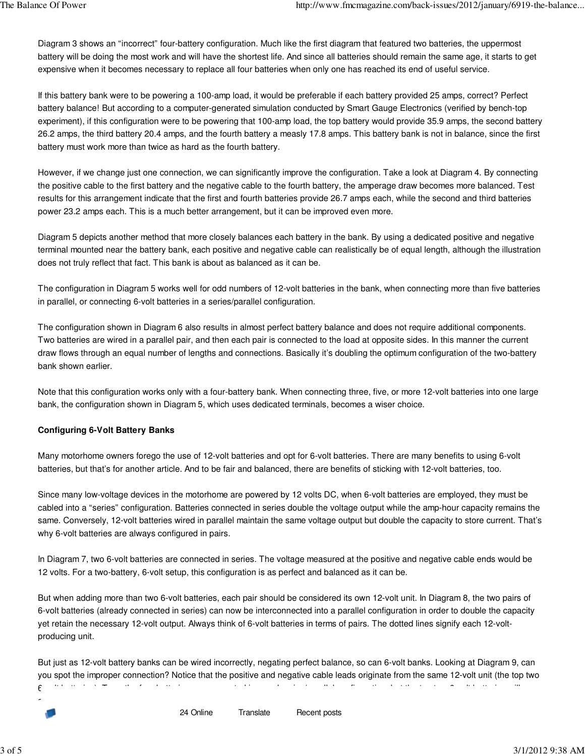Diagram 3 shows an "incorrect" four-battery configuration. Much like the first diagram that featured two batteries, the uppermost battery will be doing the most work and will have the shortest life. And since all batteries should remain the same age, it starts to get expensive when it becomes necessary to replace all four batteries when only one has reached its end of useful service.

If this battery bank were to be powering a 100-amp load, it would be preferable if each battery provided 25 amps, correct? Perfect battery balance! But according to a computer-generated simulation conducted by Smart Gauge Electronics (verified by bench-top experiment), if this configuration were to be powering that 100-amp load, the top battery would provide 35.9 amps, the second battery 26.2 amps, the third battery 20.4 amps, and the fourth battery a measly 17.8 amps. This battery bank is not in balance, since the first battery must work more than twice as hard as the fourth battery.

However, if we change just one connection, we can significantly improve the configuration. Take a look at Diagram 4. By connecting the positive cable to the first battery and the negative cable to the fourth battery, the amperage draw becomes more balanced. Test results for this arrangement indicate that the first and fourth batteries provide 26.7 amps each, while the second and third batteries power 23.2 amps each. This is a much better arrangement, but it can be improved even more.

Diagram 5 depicts another method that more closely balances each battery in the bank. By using a dedicated positive and negative terminal mounted near the battery bank, each positive and negative cable can realistically be of equal length, although the illustration does not truly reflect that fact. This bank is about as balanced as it can be.

The configuration in Diagram 5 works well for odd numbers of 12-volt batteries in the bank, when connecting more than five batteries in parallel, or connecting 6-volt batteries in a series/parallel configuration.

The configuration shown in Diagram 6 also results in almost perfect battery balance and does not require additional components. Two batteries are wired in a parallel pair, and then each pair is connected to the load at opposite sides. In this manner the current draw flows through an equal number of lengths and connections. Basically it's doubling the optimum configuration of the two-battery bank shown earlier.

Note that this configuration works only with a four-battery bank. When connecting three, five, or more 12-volt batteries into one large bank, the configuration shown in Diagram 5, which uses dedicated terminals, becomes a wiser choice.

### **Configuring 6-Volt Battery Banks**

Many motorhome owners forego the use of 12-volt batteries and opt for 6-volt batteries. There are many benefits to using 6-volt batteries, but that's for another article. And to be fair and balanced, there are benefits of sticking with 12-volt batteries, too.

Since many low-voltage devices in the motorhome are powered by 12 volts DC, when 6-volt batteries are employed, they must be cabled into a "series" configuration. Batteries connected in series double the voltage output while the amp-hour capacity remains the same. Conversely, 12-volt batteries wired in parallel maintain the same voltage output but double the capacity to store current. That's why 6-volt batteries are always configured in pairs.

In Diagram 7, two 6-volt batteries are connected in series. The voltage measured at the positive and negative cable ends would be 12 volts. For a two-battery, 6-volt setup, this configuration is as perfect and balanced as it can be.

But when adding more than two 6-volt batteries, each pair should be considered its own 12-volt unit. In Diagram 8, the two pairs of 6-volt batteries (already connected in series) can now be interconnected into a parallel configuration in order to double the capacity yet retain the necessary 12-volt output. Always think of 6-volt batteries in terms of pairs. The dotted lines signify each 12-voltproducing unit.

But just as 12-volt battery banks can be wired incorrectly, negating perfect balance, so can 6-volt banks. Looking at Diagram 9, can you spot the improper connection? Notice that the positive and negative cable leads originate from the same 12-volt unit (the top two  $6$ -volt batteries are connected in a real series are connected in a real series will batteries will batteries will batteries will batteries will batteries will batteries will batteries will be two 6-volt batteries will b

24 Online Translate Recent posts

certainly age faster than the bottom two. Again, many motorhome battery banks are wired in this unbalanced manner.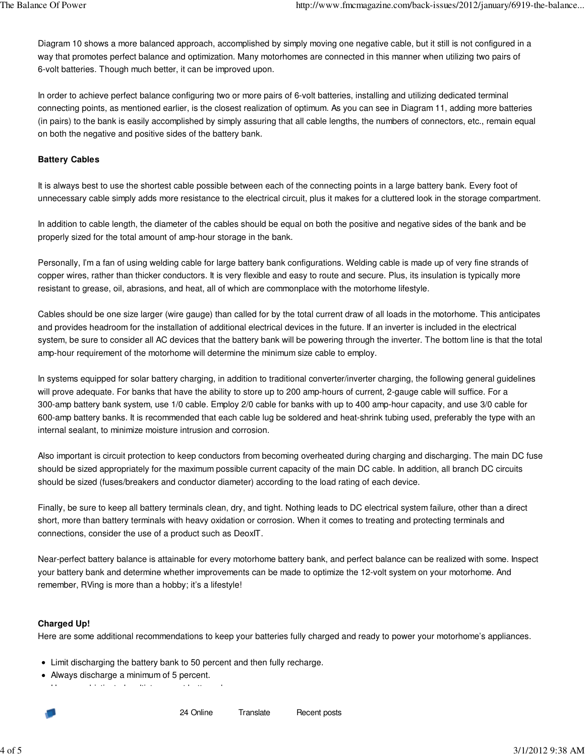Diagram 10 shows a more balanced approach, accomplished by simply moving one negative cable, but it still is not configured in a way that promotes perfect balance and optimization. Many motorhomes are connected in this manner when utilizing two pairs of 6-volt batteries. Though much better, it can be improved upon.

In order to achieve perfect balance configuring two or more pairs of 6-volt batteries, installing and utilizing dedicated terminal connecting points, as mentioned earlier, is the closest realization of optimum. As you can see in Diagram 11, adding more batteries (in pairs) to the bank is easily accomplished by simply assuring that all cable lengths, the numbers of connectors, etc., remain equal on both the negative and positive sides of the battery bank.

# **Battery Cables**

It is always best to use the shortest cable possible between each of the connecting points in a large battery bank. Every foot of unnecessary cable simply adds more resistance to the electrical circuit, plus it makes for a cluttered look in the storage compartment.

In addition to cable length, the diameter of the cables should be equal on both the positive and negative sides of the bank and be properly sized for the total amount of amp-hour storage in the bank.

Personally, I'm a fan of using welding cable for large battery bank configurations. Welding cable is made up of very fine strands of copper wires, rather than thicker conductors. It is very flexible and easy to route and secure. Plus, its insulation is typically more resistant to grease, oil, abrasions, and heat, all of which are commonplace with the motorhome lifestyle.

Cables should be one size larger (wire gauge) than called for by the total current draw of all loads in the motorhome. This anticipates and provides headroom for the installation of additional electrical devices in the future. If an inverter is included in the electrical system, be sure to consider all AC devices that the battery bank will be powering through the inverter. The bottom line is that the total amp-hour requirement of the motorhome will determine the minimum size cable to employ.

In systems equipped for solar battery charging, in addition to traditional converter/inverter charging, the following general guidelines will prove adequate. For banks that have the ability to store up to 200 amp-hours of current, 2-gauge cable will suffice. For a 300-amp battery bank system, use 1/0 cable. Employ 2/0 cable for banks with up to 400 amp-hour capacity, and use 3/0 cable for 600-amp battery banks. It is recommended that each cable lug be soldered and heat-shrink tubing used, preferably the type with an internal sealant, to minimize moisture intrusion and corrosion.

Also important is circuit protection to keep conductors from becoming overheated during charging and discharging. The main DC fuse should be sized appropriately for the maximum possible current capacity of the main DC cable. In addition, all branch DC circuits should be sized (fuses/breakers and conductor diameter) according to the load rating of each device.

Finally, be sure to keep all battery terminals clean, dry, and tight. Nothing leads to DC electrical system failure, other than a direct short, more than battery terminals with heavy oxidation or corrosion. When it comes to treating and protecting terminals and connections, consider the use of a product such as DeoxIT.

Near-perfect battery balance is attainable for every motorhome battery bank, and perfect balance can be realized with some. Inspect your battery bank and determine whether improvements can be made to optimize the 12-volt system on your motorhome. And remember, RVing is more than a hobby; it's a lifestyle!

### **Charged Up!**

Here are some additional recommendations to keep your batteries fully charged and ready to power your motorhome's appliances.

- Limit discharging the battery bank to 50 percent and then fully recharge.
- Always discharge a minimum of 5 percent.

Use a sophisticated multistep smart battery charger.